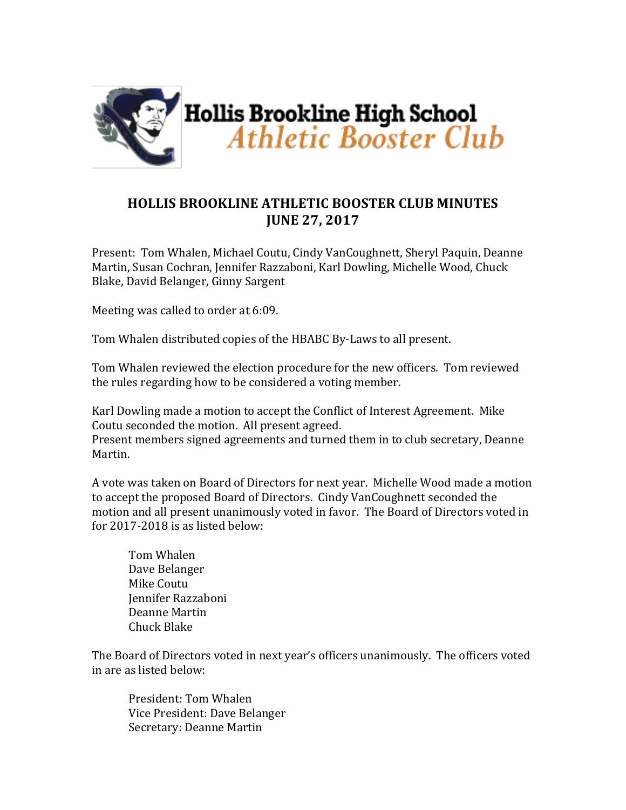

## **HOLLIS BROOKLINE ATHLETIC BOOSTER CLUB MINUTES JUNE 27, 2017**

Present: Tom Whalen, Michael Coutu, Cindy VanCoughnett, Sheryl Paquin, Deanne Martin, Susan Cochran, Jennifer Razzaboni, Karl Dowling, Michelle Wood, Chuck Blake, David Belanger, Ginny Sargent

Meeting was called to order at 6:09.

Tom Whalen distributed copies of the HBABC By-Laws to all present.

Tom Whalen reviewed the election procedure for the new officers. Tom reviewed the rules regarding how to be considered a voting member.

Karl Dowling made a motion to accept the Conflict of Interest Agreement. Mike Coutu seconded the motion. All present agreed.

Present members signed agreements and turned them in to club secretary, Deanne Martin.

A vote was taken on Board of Directors for next year. Michelle Wood made a motion to accept the proposed Board of Directors. Cindy VanCoughnett seconded the motion and all present unanimously voted in favor. The Board of Directors voted in for  $2017-2018$  is as listed below:

Tom Whalen Dave Belanger Mike Coutu Jennifer Razzaboni Deanne Martin Chuck Blake

The Board of Directors voted in next year's officers unanimously. The officers voted in are as listed below:

President: Tom Whalen Vice President: Dave Belanger Secretary: Deanne Martin